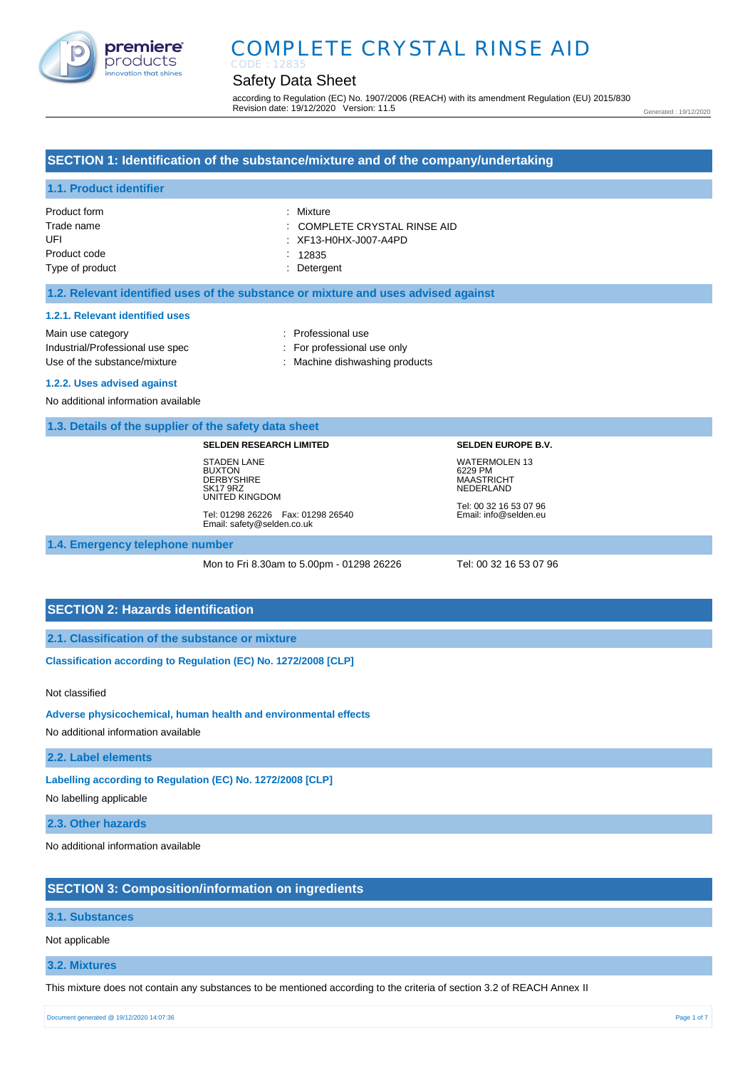

## COMPLETE CRYSTAL RINSE AID CODE : 12835

## Safety Data Sheet

according to Regulation (EC) No. 1907/2006 (REACH) with its amendment Regulation (EU) 2015/830 Revision date: 19/12/2020 Version: 11.5

Generated : 19/12/2020

## **SECTION 1: Identification of the substance/mixture and of the company/undertaking**

## **1.1. Product identifier**

| Product form    | : Mixture                    |
|-----------------|------------------------------|
| Trade name      | : COMPLETE CRYSTAL RINSE AID |
| UFI             | : XF13-H0HX-J007-A4PD        |
| Product code    | : 12835                      |
| Type of product | : Detergent                  |

### **1.2. Relevant identified uses of the substance or mixture and uses advised against**

#### **1.2.1. Relevant identified uses**

Main use category **Example 20** and the Main use category **in the Contract 20 and 10** and 10 and 10 and 10 and 10 and 10 and 10 and 10 and 10 and 10 and 10 and 10 and 10 and 10 and 10 and 10 and 10 and 10 and 10 and 10 and Industrial/Professional use spec : For professional use only

Use of the substance/mixture : Machine dishwashing products

#### **1.2.2. Uses advised against**

No additional information available

### **1.3. Details of the supplier of the safety data sheet**

#### **SELDEN RESEARCH LIMITED**

STADEN LANE **BUXTON DERBYSHIRE** SK17 9RZ UNITED KINGDOM

Tel: 01298 26226 Fax: 01298 26540 Email: safety@selden.co.uk

# **SELDEN EUROPE B.V.** WATERMOLEN 13

6229 PM MAASTRICHT NEDERLAND Tel: 00 32 16 53 07 96 Email: info@selden.eu

**1.4. Emergency telephone number**

Mon to Fri 8.30am to 5.00pm - 01298 26226 Tel: 00 32 16 53 07 96

### **SECTION 2: Hazards identification**

**2.1. Classification of the substance or mixture**

**Classification according to Regulation (EC) No. 1272/2008 [CLP]** 

Not classified

**Adverse physicochemical, human health and environmental effects** 

No additional information available

**2.2. Label elements**

**Labelling according to Regulation (EC) No. 1272/2008 [CLP]** 

No labelling applicable

**2.3. Other hazards**

No additional information available

### **SECTION 3: Composition/information on ingredients**

#### **3.1. Substances**

Not applicable

#### **3.2. Mixtures**

This mixture does not contain any substances to be mentioned according to the criteria of section 3.2 of REACH Annex II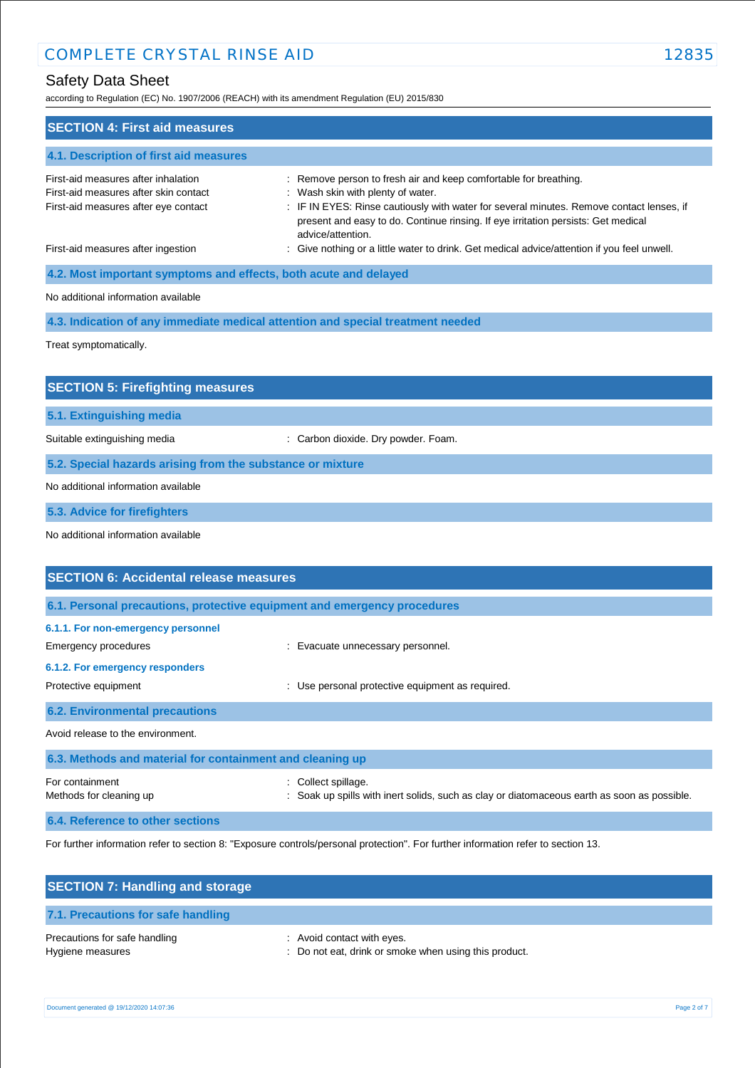according to Regulation (EC) No. 1907/2006 (REACH) with its amendment Regulation (EU) 2015/830

| 2000 0019 to http://www.com/2000 (htt/will) with its amonamont http://www.com/201                                    |                                                                                                                                                                                                                                                                                                             |
|----------------------------------------------------------------------------------------------------------------------|-------------------------------------------------------------------------------------------------------------------------------------------------------------------------------------------------------------------------------------------------------------------------------------------------------------|
| <b>SECTION 4: First aid measures</b>                                                                                 |                                                                                                                                                                                                                                                                                                             |
| 4.1. Description of first aid measures                                                                               |                                                                                                                                                                                                                                                                                                             |
| First-aid measures after inhalation<br>First-aid measures after skin contact<br>First-aid measures after eye contact | : Remove person to fresh air and keep comfortable for breathing.<br>: Wash skin with plenty of water.<br>: IF IN EYES: Rinse cautiously with water for several minutes. Remove contact lenses, if<br>present and easy to do. Continue rinsing. If eye irritation persists: Get medical<br>advice/attention. |
| First-aid measures after ingestion                                                                                   | : Give nothing or a little water to drink. Get medical advice/attention if you feel unwell.                                                                                                                                                                                                                 |
| 4.2. Most important symptoms and effects, both acute and delayed                                                     |                                                                                                                                                                                                                                                                                                             |
| No additional information available                                                                                  |                                                                                                                                                                                                                                                                                                             |
|                                                                                                                      | 4.3. Indication of any immediate medical attention and special treatment needed                                                                                                                                                                                                                             |
| Treat symptomatically.                                                                                               |                                                                                                                                                                                                                                                                                                             |
|                                                                                                                      |                                                                                                                                                                                                                                                                                                             |
| <b>SECTION 5: Firefighting measures</b>                                                                              |                                                                                                                                                                                                                                                                                                             |
| 5.1. Extinguishing media                                                                                             |                                                                                                                                                                                                                                                                                                             |
| Suitable extinguishing media                                                                                         | : Carbon dioxide. Dry powder. Foam.                                                                                                                                                                                                                                                                         |
| 5.2. Special hazards arising from the substance or mixture                                                           |                                                                                                                                                                                                                                                                                                             |
| No additional information available                                                                                  |                                                                                                                                                                                                                                                                                                             |
| 5.3. Advice for firefighters                                                                                         |                                                                                                                                                                                                                                                                                                             |
| No additional information available                                                                                  |                                                                                                                                                                                                                                                                                                             |
|                                                                                                                      |                                                                                                                                                                                                                                                                                                             |
| <b>SECTION 6: Accidental release measures</b>                                                                        |                                                                                                                                                                                                                                                                                                             |
| 6.1. Personal precautions, protective equipment and emergency procedures                                             |                                                                                                                                                                                                                                                                                                             |
| 6.1.1. For non-emergency personnel<br><b>Emergency procedures</b>                                                    | : Evacuate unnecessary personnel.                                                                                                                                                                                                                                                                           |
| 6.1.2. For emergency responders<br>Protective equipment                                                              | : Use personal protective equipment as required.                                                                                                                                                                                                                                                            |
| <b>6.2. Environmental precautions</b>                                                                                |                                                                                                                                                                                                                                                                                                             |
| Avoid release to the environment.                                                                                    |                                                                                                                                                                                                                                                                                                             |
| 6.3. Methods and material for containment and cleaning up                                                            |                                                                                                                                                                                                                                                                                                             |
| For containment<br>Methods for cleaning up                                                                           | : Collect spillage.<br>Soak up spills with inert solids, such as clay or diatomaceous earth as soon as possible.                                                                                                                                                                                            |
| 6.4. Reference to other sections                                                                                     |                                                                                                                                                                                                                                                                                                             |
|                                                                                                                      |                                                                                                                                                                                                                                                                                                             |

For further information refer to section 8: "Exposure controls/personal protection". For further information refer to section 13.

| <b>SECTION 7: Handling and storage</b>            |                                                                                     |
|---------------------------------------------------|-------------------------------------------------------------------------------------|
| 7.1. Precautions for safe handling                |                                                                                     |
| Precautions for safe handling<br>Hygiene measures | : Avoid contact with eyes.<br>: Do not eat, drink or smoke when using this product. |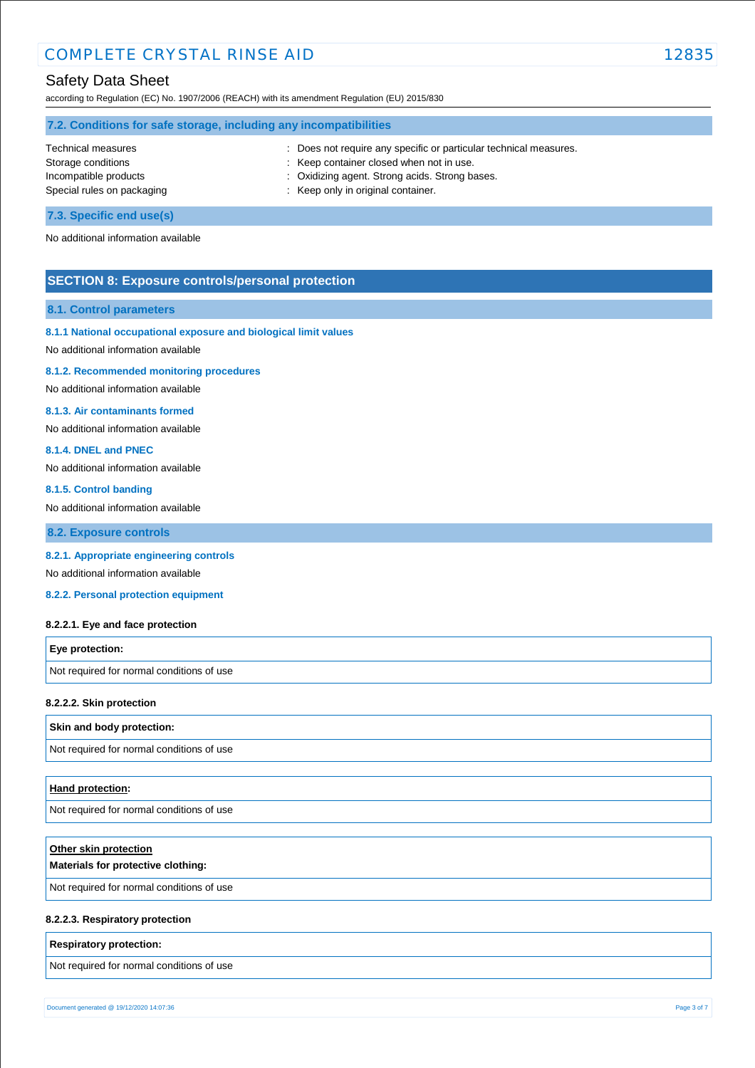according to Regulation (EC) No. 1907/2006 (REACH) with its amendment Regulation (EU) 2015/830

| 7.2. Conditions for safe storage, including any incompatibilities |                                                                   |  |  |
|-------------------------------------------------------------------|-------------------------------------------------------------------|--|--|
| Technical measures                                                | : Does not require any specific or particular technical measures. |  |  |
| Storage conditions                                                | : Keep container closed when not in use.                          |  |  |
| Incompatible products                                             | : Oxidizing agent. Strong acids. Strong bases.                    |  |  |
| Special rules on packaging                                        | : Keep only in original container.                                |  |  |
|                                                                   |                                                                   |  |  |

**7.3. Specific end use(s)**

No additional information available

## **SECTION 8: Exposure controls/personal protection**

#### **8.1. Control parameters**

### **8.1.1 National occupational exposure and biological limit values**

No additional information available

#### **8.1.2. Recommended monitoring procedures**

No additional information available

### **8.1.3. Air contaminants formed**

No additional information available

#### **8.1.4. DNEL and PNEC**

No additional information available

#### **8.1.5. Control banding**

No additional information available

**8.2. Exposure controls**

### **8.2.1. Appropriate engineering controls**

No additional information available

**8.2.2. Personal protection equipment** 

#### **8.2.2.1. Eye and face protection**

| <b>Eye protection:</b>                    |  |
|-------------------------------------------|--|
| Not required for normal conditions of use |  |

#### **8.2.2.2. Skin protection**

### **Skin and body protection:**

Not required for normal conditions of use

#### **Hand protection:**

Not required for normal conditions of use

| Other skin protection<br>Materials for protective clothing: |
|-------------------------------------------------------------|
| Not required for normal conditions of use                   |
|                                                             |

### **8.2.2.3. Respiratory protection**

#### **Respiratory protection:**

Not required for normal conditions of use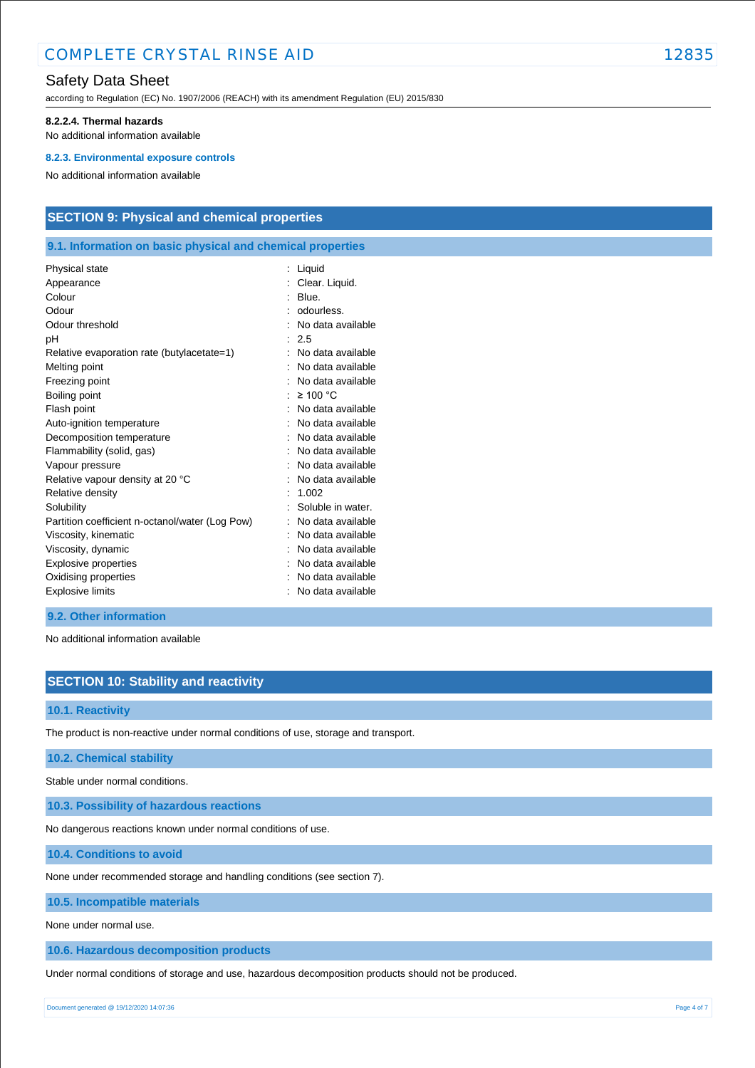according to Regulation (EC) No. 1907/2006 (REACH) with its amendment Regulation (EU) 2015/830

#### **8.2.2.4. Thermal hazards**

No additional information available

#### **8.2.3. Environmental exposure controls**

No additional information available

## **SECTION 9: Physical and chemical properties**

### **9.1. Information on basic physical and chemical properties**

| Clear. Liquid.<br>Blue.<br>odourless.<br>No data available<br>: 2.5<br>No data available<br>No data available<br>No data available<br>$\geq 100$ °C<br>No data available<br>No data available<br>No data available<br>No data available<br>No data available<br>No data available<br>1.002<br>Soluble in water.<br>No data available<br>No data available<br>No data available<br>Explosive properties<br>No data available<br>No data available<br>No data available | Physical state                                  | Liquid |
|-----------------------------------------------------------------------------------------------------------------------------------------------------------------------------------------------------------------------------------------------------------------------------------------------------------------------------------------------------------------------------------------------------------------------------------------------------------------------|-------------------------------------------------|--------|
|                                                                                                                                                                                                                                                                                                                                                                                                                                                                       | Appearance                                      |        |
|                                                                                                                                                                                                                                                                                                                                                                                                                                                                       | Colour                                          |        |
|                                                                                                                                                                                                                                                                                                                                                                                                                                                                       | Odour                                           |        |
|                                                                                                                                                                                                                                                                                                                                                                                                                                                                       | Odour threshold                                 |        |
|                                                                                                                                                                                                                                                                                                                                                                                                                                                                       | рH                                              |        |
|                                                                                                                                                                                                                                                                                                                                                                                                                                                                       | Relative evaporation rate (butylacetate=1)      |        |
|                                                                                                                                                                                                                                                                                                                                                                                                                                                                       | Melting point                                   |        |
|                                                                                                                                                                                                                                                                                                                                                                                                                                                                       | Freezing point                                  |        |
|                                                                                                                                                                                                                                                                                                                                                                                                                                                                       | Boiling point                                   |        |
|                                                                                                                                                                                                                                                                                                                                                                                                                                                                       | Flash point                                     |        |
|                                                                                                                                                                                                                                                                                                                                                                                                                                                                       | Auto-ignition temperature                       |        |
|                                                                                                                                                                                                                                                                                                                                                                                                                                                                       | Decomposition temperature                       |        |
|                                                                                                                                                                                                                                                                                                                                                                                                                                                                       | Flammability (solid, gas)                       |        |
|                                                                                                                                                                                                                                                                                                                                                                                                                                                                       | Vapour pressure                                 |        |
|                                                                                                                                                                                                                                                                                                                                                                                                                                                                       | Relative vapour density at 20 °C                |        |
|                                                                                                                                                                                                                                                                                                                                                                                                                                                                       | Relative density                                |        |
|                                                                                                                                                                                                                                                                                                                                                                                                                                                                       | Solubility                                      |        |
|                                                                                                                                                                                                                                                                                                                                                                                                                                                                       | Partition coefficient n-octanol/water (Log Pow) |        |
|                                                                                                                                                                                                                                                                                                                                                                                                                                                                       | Viscosity, kinematic                            |        |
|                                                                                                                                                                                                                                                                                                                                                                                                                                                                       | Viscosity, dynamic                              |        |
|                                                                                                                                                                                                                                                                                                                                                                                                                                                                       |                                                 |        |
|                                                                                                                                                                                                                                                                                                                                                                                                                                                                       | Oxidising properties                            |        |
|                                                                                                                                                                                                                                                                                                                                                                                                                                                                       | <b>Explosive limits</b>                         |        |

### **9.2. Other information**

No additional information available

## **SECTION 10: Stability and reactivity**

### **10.1. Reactivity**

The product is non-reactive under normal conditions of use, storage and transport.

#### **10.2. Chemical stability**

Stable under normal conditions.

**10.3. Possibility of hazardous reactions**

No dangerous reactions known under normal conditions of use.

**10.4. Conditions to avoid**

None under recommended storage and handling conditions (see section 7).

**10.5. Incompatible materials**

None under normal use.

**10.6. Hazardous decomposition products**

Under normal conditions of storage and use, hazardous decomposition products should not be produced.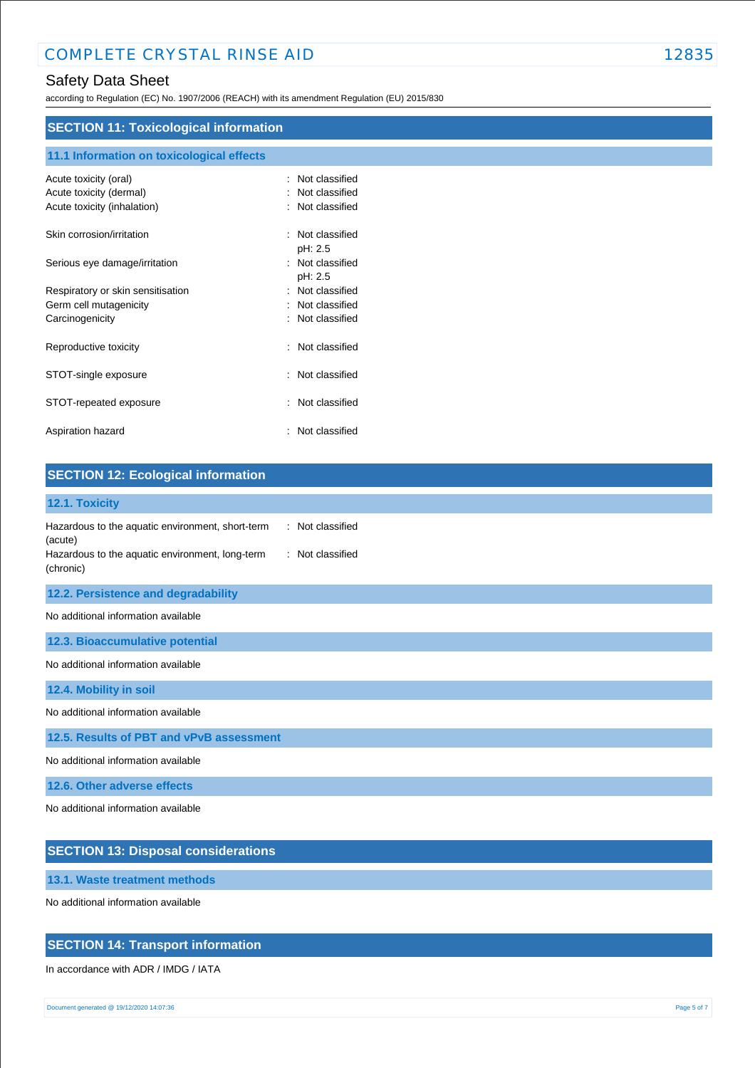according to Regulation (EC) No. 1907/2006 (REACH) with its amendment Regulation (EU) 2015/830

## **SECTION 11: Toxicological information**

| 11.1 Information on toxicological effects                                       |                                                      |
|---------------------------------------------------------------------------------|------------------------------------------------------|
| Acute toxicity (oral)<br>Acute toxicity (dermal)<br>Acute toxicity (inhalation) | Not classified<br>Not classified<br>: Not classified |
| Skin corrosion/irritation                                                       | Not classified                                       |
| Serious eye damage/irritation                                                   | pH: 2.5<br>Not classified<br>pH: 2.5                 |
| Respiratory or skin sensitisation                                               | : Not classified                                     |
| Germ cell mutagenicity                                                          | Not classified                                       |
| Carcinogenicity                                                                 | Not classified                                       |
| Reproductive toxicity                                                           | Not classified<br>÷                                  |
| STOT-single exposure                                                            | Not classified<br>٠.                                 |
| STOT-repeated exposure                                                          | Not classified<br>÷                                  |
| Aspiration hazard                                                               | Not classified                                       |

| <b>SECTION 12: Ecological information</b>                                                                                                                           |
|---------------------------------------------------------------------------------------------------------------------------------------------------------------------|
| 12.1. Toxicity                                                                                                                                                      |
| Hazardous to the aquatic environment, short-term<br>: Not classified<br>(acute)<br>: Not classified<br>Hazardous to the aquatic environment, long-term<br>(chronic) |
| 12.2. Persistence and degradability                                                                                                                                 |
| No additional information available                                                                                                                                 |
| 12.3. Bioaccumulative potential                                                                                                                                     |
| No additional information available                                                                                                                                 |
| 12.4. Mobility in soil                                                                                                                                              |
| No additional information available                                                                                                                                 |
| 12.5. Results of PBT and vPvB assessment                                                                                                                            |
| No additional information available                                                                                                                                 |
| 12.6. Other adverse effects                                                                                                                                         |
| No additional information available                                                                                                                                 |

## **SECTION 13: Disposal considerations**

**13.1. Waste treatment methods**

No additional information available

## **SECTION 14: Transport information**

In accordance with ADR / IMDG / IATA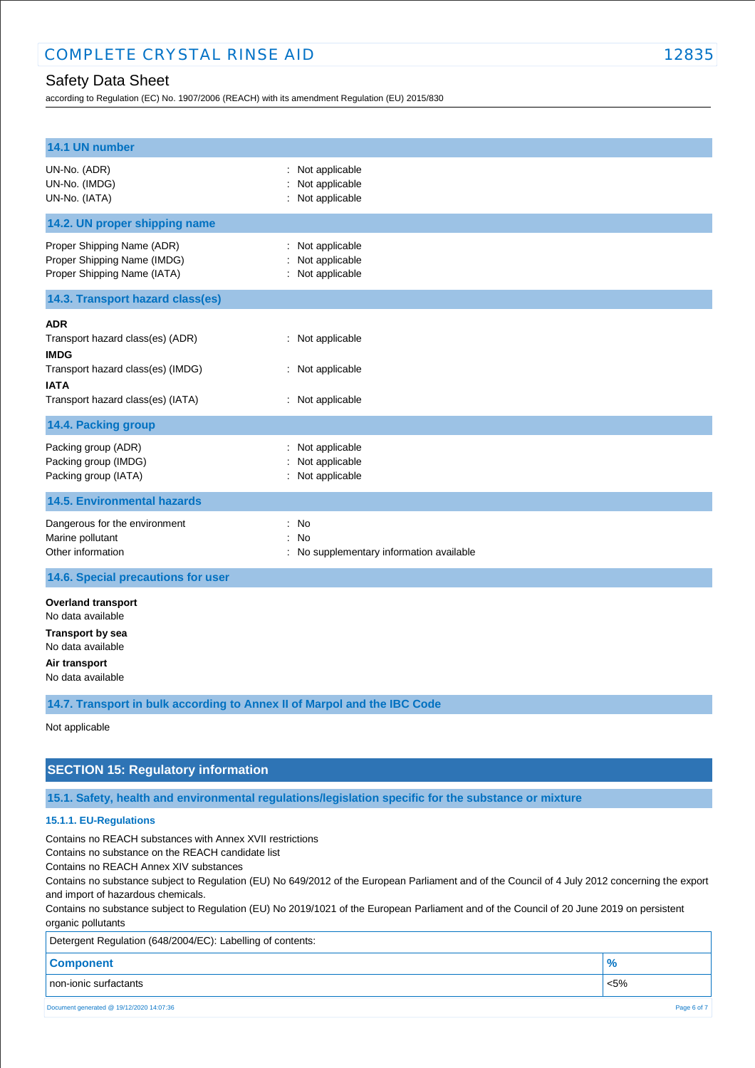according to Regulation (EC) No. 1907/2006 (REACH) with its amendment Regulation (EU) 2015/830

| 14.1 UN number                                                                                                                       |                                                              |
|--------------------------------------------------------------------------------------------------------------------------------------|--------------------------------------------------------------|
| UN-No. (ADR)<br>UN-No. (IMDG)<br>UN-No. (IATA)                                                                                       | : Not applicable<br>Not applicable<br>: Not applicable       |
| 14.2. UN proper shipping name                                                                                                        |                                                              |
| Proper Shipping Name (ADR)<br>Proper Shipping Name (IMDG)<br>Proper Shipping Name (IATA)                                             | : Not applicable<br>Not applicable<br>: Not applicable       |
| 14.3. Transport hazard class(es)                                                                                                     |                                                              |
| ADR<br>Transport hazard class(es) (ADR)<br><b>IMDG</b><br>Transport hazard class(es) (IMDG)<br><b>IATA</b>                           | : Not applicable<br>: Not applicable                         |
| Transport hazard class(es) (IATA)                                                                                                    | : Not applicable                                             |
| 14.4. Packing group                                                                                                                  |                                                              |
| Packing group (ADR)<br>Packing group (IMDG)<br>Packing group (IATA)                                                                  | : Not applicable<br>Not applicable<br>: Not applicable       |
| <b>14.5. Environmental hazards</b>                                                                                                   |                                                              |
| Dangerous for the environment<br>Marine pollutant<br>Other information                                                               | : No<br>No<br>÷.<br>: No supplementary information available |
| 14.6. Special precautions for user                                                                                                   |                                                              |
| <b>Overland transport</b><br>No data available<br><b>Transport by sea</b><br>No data available<br>Air transport<br>No data available |                                                              |
| 14.7. Transport in bulk according to Annex II of Marpol and the IBC Code                                                             |                                                              |

Not applicable

## **SECTION 15: Regulatory information**

**15.1. Safety, health and environmental regulations/legislation specific for the substance or mixture**

### **15.1.1. EU-Regulations**

Contains no REACH substances with Annex XVII restrictions

Contains no substance on the REACH candidate list

Contains no REACH Annex XIV substances

Contains no substance subject to Regulation (EU) No 649/2012 of the European Parliament and of the Council of 4 July 2012 concerning the export and import of hazardous chemicals.

Contains no substance subject to Regulation (EU) No 2019/1021 of the European Parliament and of the Council of 20 June 2019 on persistent organic pollutants

| Detergent Regulation (648/2004/EC): Labelling of contents: |         |  |
|------------------------------------------------------------|---------|--|
| <b>Component</b>                                           |         |  |
| non-ionic surfactants                                      | $< 5\%$ |  |
| Document generated @ 19/12/2020 14:07:36<br>Page 6 of 7    |         |  |